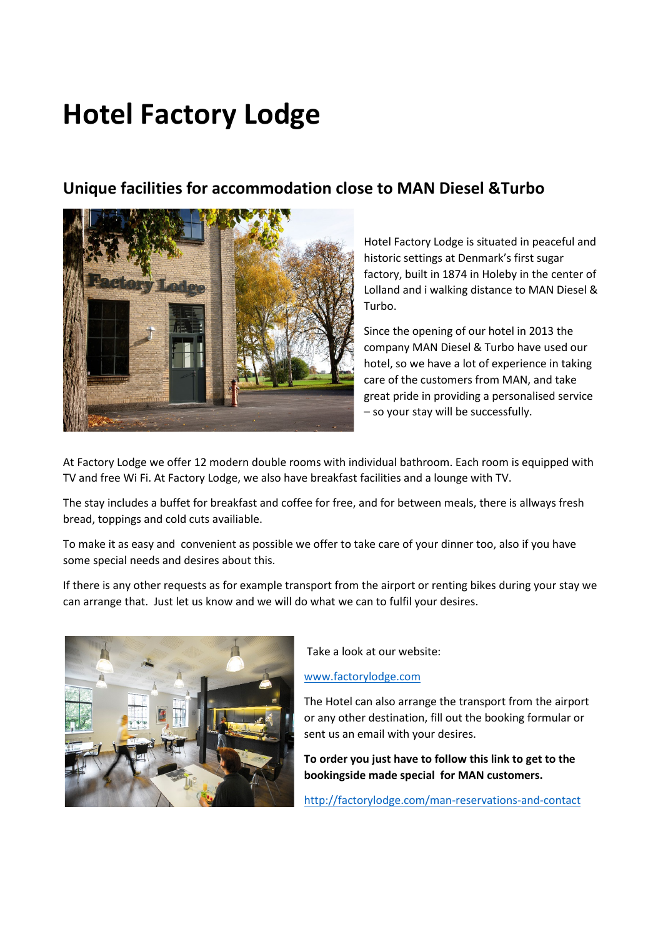## **Hotel Factory Lodge**

## **Unique facilities for accommodation close to MAN Diesel &Turbo**



Hotel Factory Lodge is situated in peaceful and historic settings at Denmark's first sugar factory, built in 1874 in Holeby in the center of Lolland and i walking distance to MAN Diesel & Turbo.

Since the opening of our hotel in 2013 the company MAN Diesel & Turbo have used our hotel, so we have a lot of experience in taking care of the customers from MAN, and take great pride in providing a personalised service – so your stay will be successfully.

At Factory Lodge we offer 12 modern double rooms with individual bathroom. Each room is equipped with TV and free Wi Fi. At Factory Lodge, we also have breakfast facilities and a lounge with TV.

The stay includes a buffet for breakfast and coffee for free, and for between meals, there is allways fresh bread, toppings and cold cuts availiable.

To make it as easy and convenient as possible we offer to take care of your dinner too, also if you have some special needs and desires about this.

If there is any other requests as for example transport from the airport or renting bikes during your stay we can arrange that. Just let us know and we will do what we can to fulfil your desires.



Take a look at our website:

## [www.factorylodge.com](http://www.factorylodge.com/)

The Hotel can also arrange the transport from the airport or any other destination, fill out the booking formular or sent us an email with your desires.

**To order you just have to follow this link to get to the bookingside made special for MAN customers.**

<http://factorylodge.com/man-reservations-and-contact>